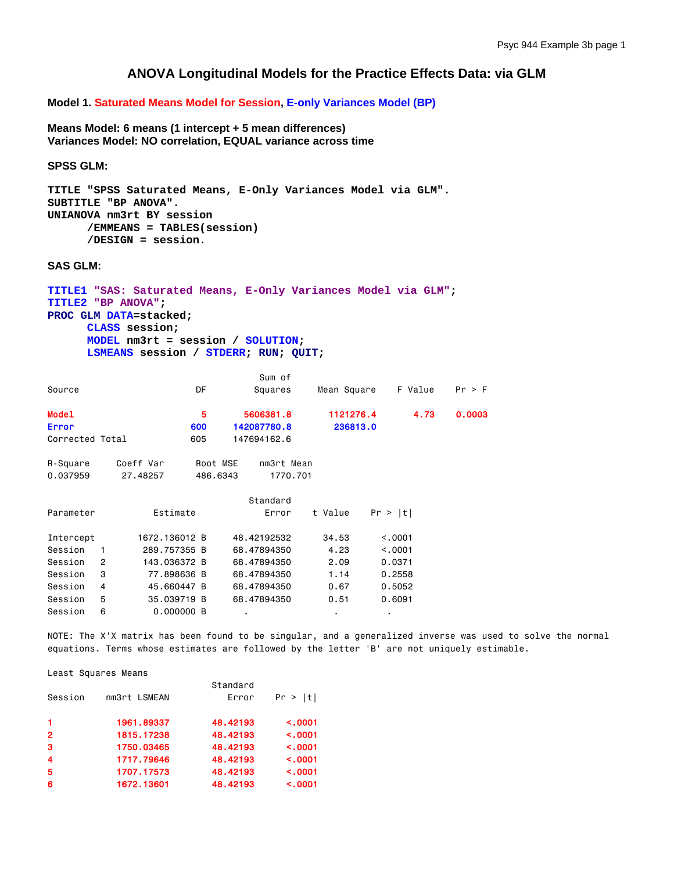## **ANOVA Longitudinal Models for the Practice Effects Data: via GLM**

**Model 1. Saturated Means Model for Session, E-only Variances Model (BP)**

**Means Model: 6 means (1 intercept + 5 mean differences) Variances Model: NO correlation, EQUAL variance across time** 

**SPSS GLM:** 

```
TITLE "SPSS Saturated Means, E-Only Variances Model via GLM". 
SUBTITLE "BP ANOVA". 
UNIANOVA nm3rt BY session 
       /EMMEANS = TABLES(session) 
       /DESIGN = session.
```
**SAS GLM:** 

```
TITLE1 "SAS: Saturated Means, E-Only Variances Model via GLM"; 
TITLE2 "BP ANOVA"; 
PROC GLM DATA=stacked; 
      CLASS session; 
      MODEL nm3rt = session / SOLUTION; 
      LSMEANS session / STDERR; RUN; QUIT;
```

|                 |   |               |          | Sum of      |             |         |        |
|-----------------|---|---------------|----------|-------------|-------------|---------|--------|
| Source          |   |               | DF       | Squares     | Mean Square | F Value | Pr > F |
| <b>Model</b>    |   |               | 5        | 5606381.8   | 1121276.4   | 4.73    | 0.0003 |
| <b>Error</b>    |   |               | 600      | 142087780.8 | 236813.0    |         |        |
| Corrected Total |   |               | 605      | 147694162.6 |             |         |        |
| R-Square        |   | Coeff Var     | Root MSE | nm3rt Mean  |             |         |        |
| 0.037959        |   | 27.48257      | 486.6343 | 1770.701    |             |         |        |
|                 |   |               |          | Standard    |             |         |        |
| Parameter       |   | Estimate      |          | Error       | t Value     | Pr >  t |        |
| Intercept       |   | 1672.136012 B |          | 48.42192532 | 34.53       | < 0.001 |        |
| Session         | 1 | 289.757355 B  |          | 68.47894350 | 4.23        | < 0.001 |        |
| Session         | 2 | 143.036372 B  |          | 68.47894350 | 2.09        | 0.0371  |        |
| Session         | 3 | 77.898636 B   |          | 68,47894350 | 1.14        | 0.2558  |        |
| Session         | 4 | 45.660447 B   |          | 68,47894350 | 0.67        | 0.5052  |        |
| Session         | 5 | 35,039719 B   |          | 68,47894350 | 0.51        | 0.6091  |        |
| Session         | 6 | 0.000000B     |          |             |             |         |        |

NOTE: The X'X matrix has been found to be singular, and a generalized inverse was used to solve the normal equations. Terms whose estimates are followed by the letter 'B' are not uniquely estimable.

#### Least Squares Means

|                         |              | Standard |              |
|-------------------------|--------------|----------|--------------|
| Session                 | nm3rt LSMEAN | Error    | Pr >  t      |
| $\mathbf{1}$            | 1961.89337   | 48.42193 | < .0001      |
| $\overline{2}$          | 1815.17238   | 48.42193 | < .0001      |
| 3                       | 1750,03465   | 48.42193 | < .0001      |
| $\overline{\mathbf{4}}$ | 1717.79646   | 48.42193 | $\leq$ .0001 |
| 5                       | 1707.17573   | 48.42193 | < .0001      |
| 6                       | 1672.13601   | 48.42193 | < .0001      |
|                         |              |          |              |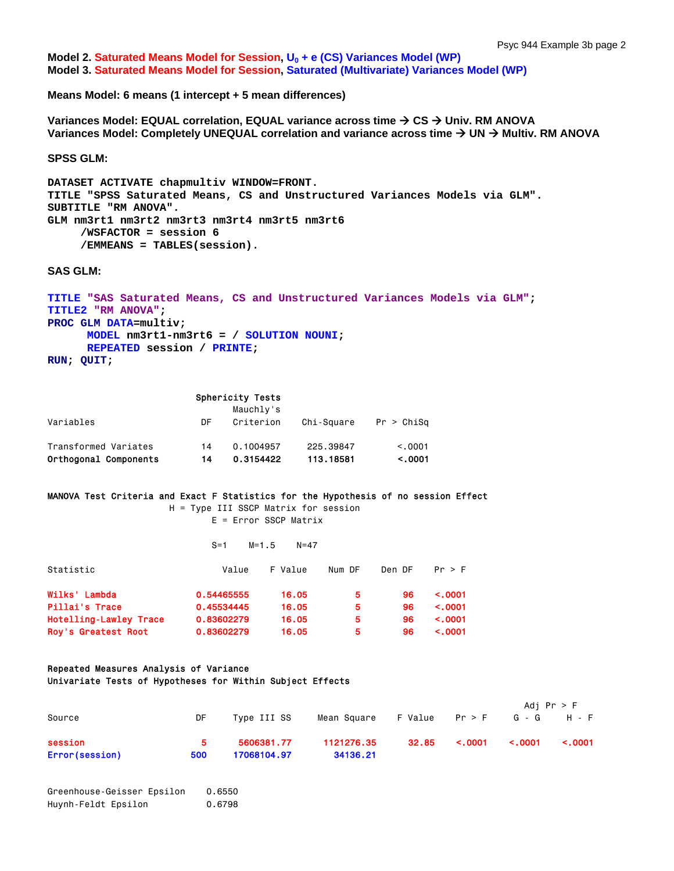**Model 2. Saturated Means Model for Session, U<sub>0</sub> + e (CS) Variances Model (WP) Model 3. Saturated Means Model for Session, Saturated (Multivariate) Variances Model (WP)**

**Means Model: 6 means (1 intercept + 5 mean differences)** 

**Variances Model: EQUAL correlation, EQUAL variance across time**  $\rightarrow$  **CS → Univ. RM ANOVA** Variances Model: Completely UNEQUAL correlation and variance across time → UN → Multiv. RM ANOVA

**SPSS GLM:** 

```
DATASET ACTIVATE chapmultiv WINDOW=FRONT. 
TITLE "SPSS Saturated Means, CS and Unstructured Variances Models via GLM". 
SUBTITLE "RM ANOVA". 
GLM nm3rt1 nm3rt2 nm3rt3 nm3rt4 nm3rt5 nm3rt6 
      /WSFACTOR = session 6 
      /EMMEANS = TABLES(session).
```
**SAS GLM:** 

```
TITLE "SAS Saturated Means, CS and Unstructured Variances Models via GLM"; 
TITLE2 "RM ANOVA"; 
PROC GLM DATA=multiv; 
      MODEL nm3rt1-nm3rt6 = / SOLUTION NOUNI; 
      REPEATED session / PRINTE; 
RUN; QUIT;
```

|                       |    | Sphericity Tests |            |            |
|-----------------------|----|------------------|------------|------------|
|                       |    | Mauchly's        |            |            |
| Variables             | DF | Criterion        | Chi-Square | Pr > Chisq |
| Transformed Variates  | 14 | 0.1004957        | 225.39847  | < 0.001    |
| Orthogonal Components | 14 | 0.3154422        | 113, 18581 | < .0001    |

## MANOVA Test Criteria and Exact F Statistics for the Hypothesis of no session Effect

 H = Type III SSCP Matrix for session E = Error SSCP Matrix

|                        | $S = 1$    | $M = 1.5$<br>$N = 47$ |        |        |              |
|------------------------|------------|-----------------------|--------|--------|--------------|
| Statistic              | Value      | F Value               | Num DF | Den DF | Pr > F       |
| Wilks' Lambda          | 0.54465555 | 16.05                 | 5.     | 96     | $\leq$ .0001 |
| Pillai's Trace         | 0.45534445 | 16.05                 | 5      | 96     | $\leq$ .0001 |
| Hotelling-Lawley Trace | 0.83602279 | 16.05                 | 5      | 96     | $\leq$ .0001 |
| Roy's Greatest Root    | 0.83602279 | 16.05                 | 5      | 96     | $\leq$ .0001 |

#### Repeated Measures Analysis of Variance Univariate Tests of Hypotheses for Within Subject Effects

|                |     |             |             |         |              | Adj Pr > F   |              |
|----------------|-----|-------------|-------------|---------|--------------|--------------|--------------|
| Source         | DF  | Type III SS | Mean Square | F Value | Pr > F       |              | G-G H-F      |
| session        | 5.  | 5606381.77  | 1121276.35  | 32.85   | $\leq .0001$ | $\leq .0001$ | $\leq$ .0001 |
| Error(session) | 500 | 17068104.97 | 34136.21    |         |              |              |              |

```
Greenhouse-Geisser Epsilon 0.6550 
Huynh-Feldt Epsilon 0.6798
```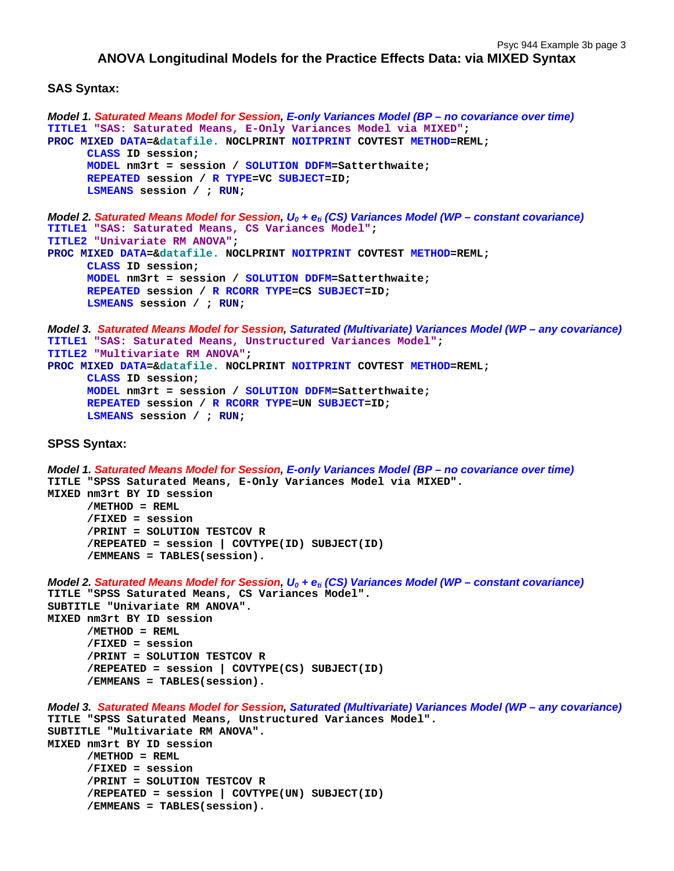## **ANOVA Longitudinal Models for the Practice Effects Data: via MIXED Syntax**

### **SAS Syntax:**

```
Model 1. Saturated Means Model for Session, E-only Variances Model (BP – no covariance over time)
TITLE1 "SAS: Saturated Means, E-Only Variances Model via MIXED"; 
PROC MIXED DATA=&datafile. NOCLPRINT NOITPRINT COVTEST METHOD=REML; 
      CLASS ID session; 
      MODEL nm3rt = session / SOLUTION DDFM=Satterthwaite; 
      REPEATED session / R TYPE=VC SUBJECT=ID; 
      LSMEANS session / ; RUN; 
Model 2. Saturated Means Model for Session, U<sub>0</sub> + e<sub>ti</sub> (CS) Variances Model (WP – constant covariance)
TITLE1 "SAS: Saturated Means, CS Variances Model"; 
TITLE2 "Univariate RM ANOVA"; 
PROC MIXED DATA=&datafile. NOCLPRINT NOITPRINT COVTEST METHOD=REML; 
      CLASS ID session; 
      MODEL nm3rt = session / SOLUTION DDFM=Satterthwaite; 
      REPEATED session / R RCORR TYPE=CS SUBJECT=ID; 
      LSMEANS session / ; RUN; 
Model 3. Saturated Means Model for Session, Saturated (Multivariate) Variances Model (WP – any covariance)
TITLE1 "SAS: Saturated Means, Unstructured Variances Model"; 
TITLE2 "Multivariate RM ANOVA"; 
PROC MIXED DATA=&datafile. NOCLPRINT NOITPRINT COVTEST METHOD=REML; 
      CLASS ID session; 
      MODEL nm3rt = session / SOLUTION DDFM=Satterthwaite; 
      REPEATED session / R RCORR TYPE=UN SUBJECT=ID; 
       LSMEANS session / ; RUN;
SPSS Syntax: 
Model 1. Saturated Means Model for Session, E-only Variances Model (BP – no covariance over time)
TITLE "SPSS Saturated Means, E-Only Variances Model via MIXED". 
MIXED nm3rt BY ID session 
       /METHOD = REML 
       /FIXED = session 
       /PRINT = SOLUTION TESTCOV R 
       /REPEATED = session | COVTYPE(ID) SUBJECT(ID) 
      /EMMEANS = TABLES(session). 
Model 2. Saturated Means Model for Session, U<sub>0</sub> + e<sub>ti</sub> (CS) Variances Model (WP – constant covariance)
TITLE "SPSS Saturated Means, CS Variances Model". 
SUBTITLE "Univariate RM ANOVA". 
MIXED nm3rt BY ID session 
       /METHOD = REML 
       /FIXED = session 
       /PRINT = SOLUTION TESTCOV R 
       /REPEATED = session | COVTYPE(CS) SUBJECT(ID) 
       /EMMEANS = TABLES(session). 
Model 3. Saturated Means Model for Session, Saturated (Multivariate) Variances Model (WP – any covariance)
TITLE "SPSS Saturated Means, Unstructured Variances Model". 
SUBTITLE "Multivariate RM ANOVA". 
MIXED nm3rt BY ID session 
       /METHOD = REML 
       /FIXED = session 
       /PRINT = SOLUTION TESTCOV R 
       /REPEATED = session | COVTYPE(UN) SUBJECT(ID) 
      /EMMEANS = TABLES(session).
```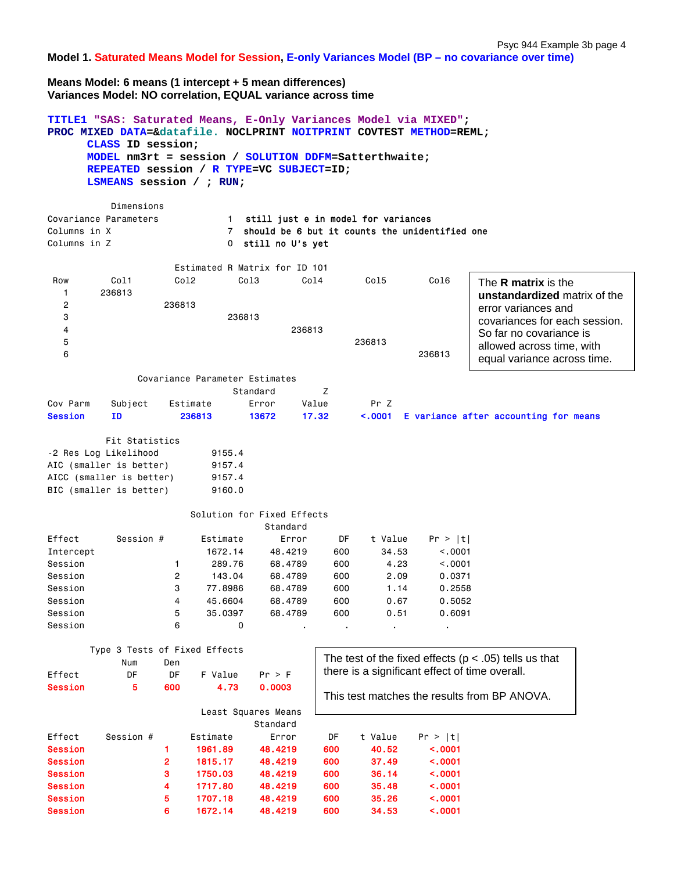**Model 1. Saturated Means Model for Session, E-only Variances Model (BP – no covariance over time)**

**Means Model: 6 means (1 intercept + 5 mean differences) Variances Model: NO correlation, EQUAL variance across time** 

|                                                                                                             | CLASS ID session;<br>LSMEANS session / ; RUN;                      |                                                  |                                                                            | TITLE1 "SAS: Saturated Means, E-Only Variances Model via MIXED";<br>PROC MIXED DATA=&datafile. NOCLPRINT NOITPRINT COVTEST METHOD=REML;<br>MODEL nm3rt = session / SOLUTION DDFM=Satterthwaite;<br>REPEATED session / R TYPE=VC SUBJECT=ID; |                                              |                                                               |                                                                                    |                                                                                                                                                                                                           |
|-------------------------------------------------------------------------------------------------------------|--------------------------------------------------------------------|--------------------------------------------------|----------------------------------------------------------------------------|---------------------------------------------------------------------------------------------------------------------------------------------------------------------------------------------------------------------------------------------|----------------------------------------------|---------------------------------------------------------------|------------------------------------------------------------------------------------|-----------------------------------------------------------------------------------------------------------------------------------------------------------------------------------------------------------|
| Columns in X<br>Columns in Z                                                                                | Dimensions<br>Covariance Parameters                                |                                                  | 1<br>$7^{\circ}$<br>0                                                      | still just e in model for variances<br>should be 6 but it counts the unidentified one<br>still no U's yet                                                                                                                                   |                                              |                                                               |                                                                                    |                                                                                                                                                                                                           |
| Row<br>1<br>2<br>3<br>4<br>5<br>6                                                                           | Col1<br>236813                                                     | Co12<br>236813                                   | Col <sub>3</sub><br>236813                                                 | Estimated R Matrix for ID 101<br>236813                                                                                                                                                                                                     | Col4                                         | Col5<br>236813                                                | Col6<br>236813                                                                     | The <b>R</b> matrix is the<br>unstandardized matrix of the<br>error variances and<br>covariances for each session.<br>So far no covariance is<br>allowed across time, with<br>equal variance across time. |
| Cov Parm<br><b>Session</b>                                                                                  | Subject<br><b>ID</b>                                               | Estimate                                         | Covariance Parameter Estimates<br>236813                                   | Standard<br>Error<br>13672                                                                                                                                                                                                                  | Z<br>Value<br>17.32                          | Pr Z<br>< .0001                                               |                                                                                    | E variance after accounting for means                                                                                                                                                                     |
| AIC (smaller is better)<br>AICC (smaller is better)                                                         | Fit Statistics<br>-2 Res Log Likelihood<br>BIC (smaller is better) |                                                  | 9155.4<br>9157.4<br>9157.4<br>9160.0                                       |                                                                                                                                                                                                                                             |                                              |                                                               |                                                                                    |                                                                                                                                                                                                           |
|                                                                                                             |                                                                    |                                                  |                                                                            | Solution for Fixed Effects<br>Standard                                                                                                                                                                                                      |                                              |                                                               |                                                                                    |                                                                                                                                                                                                           |
| Effect<br>Intercept<br>Session<br>Session<br>Session<br>Session<br>Session<br>Session                       | Session #                                                          | 1<br>2<br>3<br>4<br>5<br>6                       | Estimate<br>1672.14<br>289.76<br>143.04<br>77.8986<br>45.6604<br>35.0397   | Error<br>48.4219<br>68,4789<br>68.4789<br>68.4789<br>68.4789<br>68.4789                                                                                                                                                                     | DF<br>600<br>600<br>600<br>600<br>600<br>600 | t Value<br>34.53<br>4.23<br>2.09<br>1.14<br>0.67<br>0.51      | Pr >  t <br>< .0001<br>< 0.001<br>0.0371<br>0.2558<br>0.5052<br>0.6091             |                                                                                                                                                                                                           |
| Effect                                                                                                      | Type 3 Tests of Fixed Effects<br>Num<br>DF                         | Den<br>DF                                        | 0<br>F Value                                                               | Pr > F                                                                                                                                                                                                                                      |                                              | $\mathbf{r}$                                                  | $\blacksquare$<br>there is a significant effect of time overall.                   | The test of the fixed effects ( $p < .05$ ) tells us that                                                                                                                                                 |
| 5<br><b>Session</b><br>600<br>4.73<br>0.0003<br>Least Squares Means<br>Standard                             |                                                                    |                                                  |                                                                            |                                                                                                                                                                                                                                             |                                              |                                                               |                                                                                    | This test matches the results from BP ANOVA.                                                                                                                                                              |
| Effect<br><b>Session</b><br><b>Session</b><br><b>Session</b><br><b>Session</b><br><b>Session</b><br>Session | Session #                                                          | 1<br>$\overline{\mathbf{c}}$<br>3<br>4<br>5<br>6 | Estimate<br>1961.89<br>1815.17<br>1750.03<br>1717.80<br>1707.18<br>1672.14 | Error<br>48.4219<br>48.4219<br>48.4219<br>48.4219<br>48.4219<br>48.4219                                                                                                                                                                     | DF<br>600<br>600<br>600<br>600<br>600<br>600 | t Value<br>40.52<br>37.49<br>36.14<br>35.48<br>35.26<br>34.53 | Pr >  t <br>< .0001<br>$\sim 0001$<br>< .0001<br>$\sim 0001$<br>< .0001<br>< .0001 |                                                                                                                                                                                                           |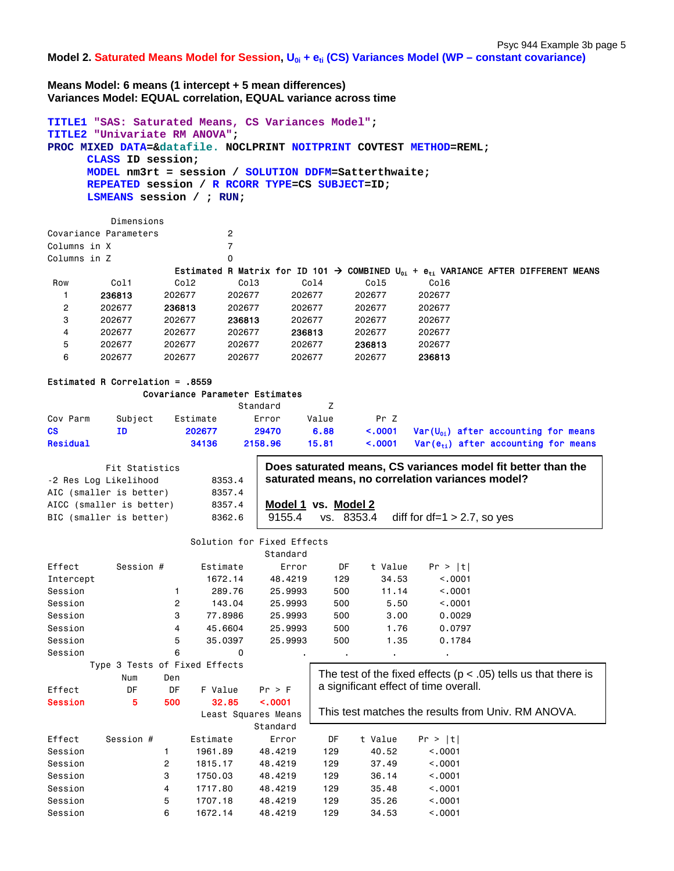Model 2. Saturated Means Model for Session, U<sub>0i</sub> + e<sub>ti</sub> (CS) Variances Model (WP – constant covariance)

**Means Model: 6 means (1 intercept + 5 mean differences) Variances Model: EQUAL correlation, EQUAL variance across time** 

```
TITLE1 "SAS: Saturated Means, CS Variances Model"; 
TITLE2 "Univariate RM ANOVA"; 
PROC MIXED DATA=&datafile. NOCLPRINT NOITPRINT COVTEST METHOD=REML; 
     CLASS ID session; 
     MODEL nm3rt = session / SOLUTION DDFM=Satterthwaite; 
     REPEATED session / R RCORR TYPE=CS SUBJECT=ID; 
     LSMEANS session / ; RUN; 
         Dimensions 
Covariance Parameters 2 
Columns in X 7
Columns in Z 0
                 Estimated R Matrix for ID 101  COMBINED U0i + eti VARIANCE AFTER DIFFERENT MEANS 
Row Col1 Col2 Col3 Col4 Col5
   1 236813 202677 202677 202677 202677 202677 
   2 202677 236813 202677 202677 202677 202677 
   3 202677 202677 236813 202677 202677 202677 
   4 202677 202677 202677 236813 202677 202677 
   5 202677 202677 202677 202677 236813 202677 
   6 202677 202677 202677 202677 202677 236813
Estimated R Correlation = .8559
```
# Covariance Parameter Estimates

|           |         |          | Standard |       |      |  |                                                               |  |
|-----------|---------|----------|----------|-------|------|--|---------------------------------------------------------------|--|
| Cov Parm  | Subject | Estimate | Error    | Value | Pr 7 |  |                                                               |  |
| <b>CS</b> | ΙD      | 202677   | 29470    | 6.88  |      |  | $\leq$ .0001 Var(U <sub>01</sub> ) after accounting for means |  |
| Residual  |         | 34136    | 2158.96  | 15.81 |      |  | $\leq$ .0001 Var(e <sub>ti</sub> ) after accounting for means |  |

| Fit Statistics           |        | Does saturated means, CS variances model fit better than the |  |  |  |  |  |
|--------------------------|--------|--------------------------------------------------------------|--|--|--|--|--|
| -2 Res Log Likelihood    | 8353.4 | saturated means, no correlation variances model?             |  |  |  |  |  |
| AIC (smaller is better)  | 8357.4 |                                                              |  |  |  |  |  |
| AICC (smaller is better) | 8357.4 | Model 1 vs. Model 2                                          |  |  |  |  |  |
| BIC (smaller is better)  | 8362.6 | diff for df=1 $>$ 2.7, so yes<br>vs. 8353.4<br>9155.4        |  |  |  |  |  |
|                          |        |                                                              |  |  |  |  |  |

|                |                               |                |          | Solution for Fixed Effects |     |         |                                       |                                                                    |
|----------------|-------------------------------|----------------|----------|----------------------------|-----|---------|---------------------------------------|--------------------------------------------------------------------|
|                |                               |                |          | Standard                   |     |         |                                       |                                                                    |
| Effect         | Session #                     |                | Estimate | Error                      | DF  | t Value | Pr >  t                               |                                                                    |
| Intercept      |                               |                | 1672.14  | 48.4219                    | 129 | 34.53   | < .0001                               |                                                                    |
| Session        |                               |                | 289,76   | 25,9993                    | 500 | 11.14   | < 0.001                               |                                                                    |
| Session        |                               | 2              | 143.04   | 25,9993                    | 500 | 5.50    | < .0001                               |                                                                    |
| Session        |                               | 3              | 77.8986  | 25,9993                    | 500 | 3.00    | 0.0029                                |                                                                    |
| Session        |                               | 4              | 45,6604  | 25,9993                    | 500 | 1.76    | 0.0797                                |                                                                    |
| Session        |                               | 5              | 35,0397  | 25,9993                    | 500 | 1.35    | 0.1784                                |                                                                    |
| Session        |                               | 6              | 0        |                            | ٠   | ٠       | $\blacksquare$                        |                                                                    |
|                | Type 3 Tests of Fixed Effects |                |          |                            |     |         |                                       |                                                                    |
|                | Num                           | Den            |          |                            |     |         |                                       | The test of the fixed effects ( $p < .05$ ) tells us that there is |
| Effect         | DF                            | DF             | F Value  | Pr > F                     |     |         | a significant effect of time overall. |                                                                    |
| <b>Session</b> | 5                             | 500            | 32.85    | < .0001                    |     |         |                                       |                                                                    |
|                |                               |                |          | Least Squares Means        |     |         |                                       | This test matches the results from Univ. RM ANOVA.                 |
|                |                               |                |          | Standard                   |     |         |                                       |                                                                    |
| Effect         | Session #                     |                | Estimate | Error                      | DF  | t Value | Pr >  t                               |                                                                    |
| Session        |                               | 1              | 1961.89  | 48.4219                    | 129 | 40.52   | < 0.0001                              |                                                                    |
| Session        |                               | $\overline{c}$ | 1815.17  | 48,4219                    | 129 | 37.49   | < 0.001                               |                                                                    |
| Session        |                               | 3              | 1750.03  | 48,4219                    | 129 | 36.14   | < 0.001                               |                                                                    |

Session 4 1717.80 48.4219 129 35.48 <.0001 Session 5 1707.18 48.4219 129 35.26 <.0001 Session 6 1672.14 48.4219 129 34.53 <.0001